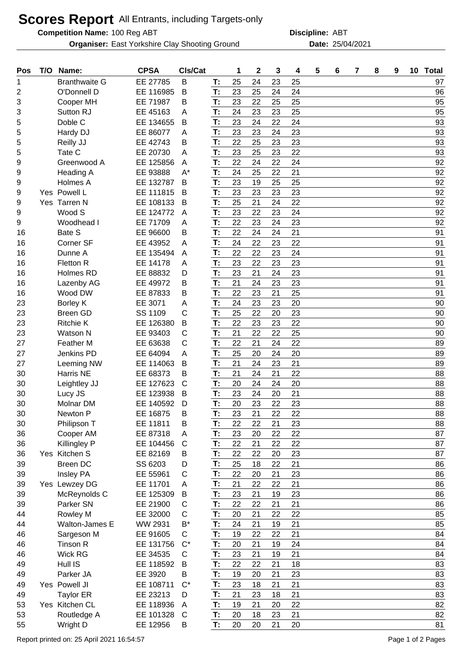## **Scores Report** All Entrants, including Targets-only

**Competition Name:**

**Organiser:** East Yorkshire Clay Shooting Ground **25/04/2021** Date: 25/04/2021

100 Reg ABT **Discipline:** ABT

| EE 27785<br>T:<br>25<br>24<br>23<br>25<br><b>Branthwaite G</b><br>B<br>97<br>1<br>23<br>25<br>24<br>O'Donnell D<br>EE 116985<br>T:<br>24<br>96<br>2<br>B<br>T:<br>23<br>25<br>95<br>Cooper MH<br>EE 71987<br>Β<br>22<br>25<br>3<br>24<br>23<br>25<br>95<br>Sutton RJ<br>EE 45163<br>T:<br>23<br>3<br>Α<br>T:<br>23<br>24<br>93<br>Doble C<br>EE 134655<br>24<br>22<br>5<br>B<br>T:<br>23<br>23<br>24<br>23<br>93<br>Hardy DJ<br>EE 86077<br>5<br>Α<br>22<br>25<br>23<br>93<br>EE 42743<br>T:<br>23<br>Reilly JJ<br>В<br>5<br>22<br>T:<br>23<br>25<br>23<br>93<br>Tate C<br>EE 20730<br>5<br>A<br>T:<br>22<br>24<br>22<br>24<br>92<br>Greenwood A<br>EE 125856<br>9<br>Α<br>EE 93888<br>T:<br>24<br>25<br>92<br>A*<br>21<br>Heading A<br>22<br>9<br>23<br>25<br>92<br>EE 132787<br>T:<br>19<br>25<br>9<br>Holmes A<br>B<br>T:<br>Yes Powell L<br>23<br>23<br>23<br>92<br>EE 111815<br>23<br>9<br>B<br>25<br>21<br>24<br>22<br>92<br>Yes Tarren N<br>EE 108133<br>B<br>T:<br>9<br>23<br>24<br>92<br>Wood S<br>EE 124772<br>T:<br>22<br>23<br>9<br>A<br>22<br>23<br>T:<br>23<br>24<br>92<br>Woodhead I<br>EE 71709<br>9<br>A<br>Bate S<br>T:<br>22<br>24<br>21<br>91<br>EE 96600<br>B<br>24<br>16<br>T:<br>24<br>22<br>91<br>Corner SF<br>EE 43952<br>22<br>23<br>16<br>Α<br>22<br>T:<br>22<br>23<br>24<br>91<br>Dunne A<br>EE 135494<br>16<br>A<br>T:<br>23<br>22<br>23<br>23<br>91<br>16<br>Fletton R<br>EE 14178<br>A<br>21<br>23<br>23<br>24<br>16<br>Holmes RD<br>EE 88832<br>T:<br>91<br>D<br>21<br>T:<br>24<br>23<br>91<br>Lazenby AG<br>EE 49972<br>23<br>16<br>В<br>T:<br>22<br>25<br>23<br>21<br>91<br>16<br>Wood DW<br>EE 87833<br>B<br>24<br>20<br>23<br><b>Borley K</b><br>EE 3071<br>T:<br>23<br>23<br>90<br>Α<br>C<br>T:<br>25<br>22<br>23<br>90<br>23<br><b>Breen GD</b><br>SS 1109<br>20<br>22<br>T:<br>22<br>23<br>23<br>23<br><b>Ritchie K</b><br>EE 126380<br>B<br>90<br>21<br>22<br>25<br>C<br>T:<br>22<br>90<br>23<br>EE 93403<br><b>Watson N</b><br>22<br>C<br>22<br>21<br>24<br>27<br>Feather M<br>EE 63638<br>T:<br>89<br>T:<br>25<br>20<br>89<br>27<br>Jenkins PD<br>EE 64094<br>20<br>24<br>Α<br>21<br>21<br>T:<br>24<br>89<br>23<br>27<br>Leeming NW<br>EE 114063<br>В<br>Harris NE<br>T:<br>21<br>22<br>88<br>EE 68373<br>24<br>21<br>30<br>в<br>T:<br>20<br>24<br>20<br>88<br>EE 127623<br>C<br>24<br>30<br>Leightley JJ<br>23<br>24<br>21<br>EE 123938<br>T:<br>20<br>88<br>30<br>Lucy JS<br>B<br>20<br>23<br>T:<br>22<br>23<br>88<br>EE 140592<br>30<br><b>Molnar DM</b><br>D<br>T:<br>22<br>88<br>EE 16875<br>23<br>21<br>22<br>30<br>Newton P<br>Β<br>EE 11811<br>22<br>22<br>23<br>88<br>30<br>Philipson T<br>B<br>Т:<br>21<br>22<br>T:<br>23<br>87<br>36<br>EE 87318<br>20<br>22<br>Cooper AM<br>Α<br>T:<br>22<br>21<br>22<br>36<br>Killingley P<br>$\mathsf{C}$<br>22<br>87<br>EE 104456<br>Yes Kitchen S<br>T:<br>EE 82169<br>22<br>22<br>23<br>87<br>36<br>В<br>20<br>21<br>25<br>18<br>22<br>86<br><b>Breen DC</b><br>SS 6203<br>T:<br>39<br>D<br>T:<br>22<br>20<br>23<br>86<br><b>Insley PA</b><br>EE 55961<br>C<br>21<br>39<br>86<br>EE 11701<br>T:<br>21<br>22<br>21<br>39<br>Yes Lewzey DG<br>22<br>Α<br>23<br>86<br>39<br>EE 125309<br>T:<br>21<br>23<br>McReynolds C<br>B<br>19<br>T:<br>22<br>22<br>21<br>86<br>39<br>Parker SN<br>EE 21900<br>21<br>С<br>21<br>22<br>85<br>44<br>EE 32000<br>C<br>20<br>22<br><b>Rowley M</b><br>T:<br>$B^*$<br>T:<br>24<br>21<br>21<br>85<br>Walton-James E<br>WW 2931<br>19<br>44<br>21<br>T:<br>19<br>22<br>84<br>C<br>22<br>46<br>Sargeson M<br>EE 91605<br>T:<br>$C^*$<br>Tinson R<br>EE 131756<br>20<br>21<br>24<br>84<br>46<br>19<br>23<br><b>Wick RG</b><br>EE 34535<br>T:<br>21<br>19<br>21<br>84<br>46<br>С<br>Hull IS<br>22<br>22<br>83<br>EE 118592<br>T:<br>21<br>18<br>49<br>B<br>T:<br>19<br>20<br>21<br>23<br>83<br>49<br>Parker JA<br>EE 3920<br>B<br>23<br>21<br>83<br>Yes Powell JI<br>EE 108711<br>$C^*$<br>T:<br>18<br>21<br>49<br>T:<br>21<br>23<br>21<br>83<br><b>Taylor ER</b><br>EE 23213<br>18<br>49<br>D<br>T:<br>22<br>82<br>53<br>Yes Kitchen CL<br>EE 118936<br>19<br>21<br>20<br>A<br>T:<br>20<br>82<br>53<br>EE 101328<br>18<br>23<br>21<br>Routledge A<br>C | Pos | T/O | Name:    | <b>CPSA</b> | CIs/Cat |    | 1  | $\mathbf{2}$ | 3  | 4  | 5 | 6 | 7 | 8 | 9 | 10 Total |
|---------------------------------------------------------------------------------------------------------------------------------------------------------------------------------------------------------------------------------------------------------------------------------------------------------------------------------------------------------------------------------------------------------------------------------------------------------------------------------------------------------------------------------------------------------------------------------------------------------------------------------------------------------------------------------------------------------------------------------------------------------------------------------------------------------------------------------------------------------------------------------------------------------------------------------------------------------------------------------------------------------------------------------------------------------------------------------------------------------------------------------------------------------------------------------------------------------------------------------------------------------------------------------------------------------------------------------------------------------------------------------------------------------------------------------------------------------------------------------------------------------------------------------------------------------------------------------------------------------------------------------------------------------------------------------------------------------------------------------------------------------------------------------------------------------------------------------------------------------------------------------------------------------------------------------------------------------------------------------------------------------------------------------------------------------------------------------------------------------------------------------------------------------------------------------------------------------------------------------------------------------------------------------------------------------------------------------------------------------------------------------------------------------------------------------------------------------------------------------------------------------------------------------------------------------------------------------------------------------------------------------------------------------------------------------------------------------------------------------------------------------------------------------------------------------------------------------------------------------------------------------------------------------------------------------------------------------------------------------------------------------------------------------------------------------------------------------------------------------------------------------------------------------------------------------------------------------------------------------------------------------------------------------------------------------------------------------------------------------------------------------------------------------------------------------------------------------------------------------------------------------------------------------------------------------------------------------------------------------------------------------------------------------------------------------------------------------------------------------------------------------------------------------------------------------------------------------------------------------------------------------------------------------------------------------------------------------------------------------------------------------------------------------------------------------------------------------------------------------------------------------------------------------------------------|-----|-----|----------|-------------|---------|----|----|--------------|----|----|---|---|---|---|---|----------|
|                                                                                                                                                                                                                                                                                                                                                                                                                                                                                                                                                                                                                                                                                                                                                                                                                                                                                                                                                                                                                                                                                                                                                                                                                                                                                                                                                                                                                                                                                                                                                                                                                                                                                                                                                                                                                                                                                                                                                                                                                                                                                                                                                                                                                                                                                                                                                                                                                                                                                                                                                                                                                                                                                                                                                                                                                                                                                                                                                                                                                                                                                                                                                                                                                                                                                                                                                                                                                                                                                                                                                                                                                                                                                                                                                                                                                                                                                                                                                                                                                                                                                                                                                                           |     |     |          |             |         |    |    |              |    |    |   |   |   |   |   |          |
|                                                                                                                                                                                                                                                                                                                                                                                                                                                                                                                                                                                                                                                                                                                                                                                                                                                                                                                                                                                                                                                                                                                                                                                                                                                                                                                                                                                                                                                                                                                                                                                                                                                                                                                                                                                                                                                                                                                                                                                                                                                                                                                                                                                                                                                                                                                                                                                                                                                                                                                                                                                                                                                                                                                                                                                                                                                                                                                                                                                                                                                                                                                                                                                                                                                                                                                                                                                                                                                                                                                                                                                                                                                                                                                                                                                                                                                                                                                                                                                                                                                                                                                                                                           |     |     |          |             |         |    |    |              |    |    |   |   |   |   |   |          |
|                                                                                                                                                                                                                                                                                                                                                                                                                                                                                                                                                                                                                                                                                                                                                                                                                                                                                                                                                                                                                                                                                                                                                                                                                                                                                                                                                                                                                                                                                                                                                                                                                                                                                                                                                                                                                                                                                                                                                                                                                                                                                                                                                                                                                                                                                                                                                                                                                                                                                                                                                                                                                                                                                                                                                                                                                                                                                                                                                                                                                                                                                                                                                                                                                                                                                                                                                                                                                                                                                                                                                                                                                                                                                                                                                                                                                                                                                                                                                                                                                                                                                                                                                                           |     |     |          |             |         |    |    |              |    |    |   |   |   |   |   |          |
|                                                                                                                                                                                                                                                                                                                                                                                                                                                                                                                                                                                                                                                                                                                                                                                                                                                                                                                                                                                                                                                                                                                                                                                                                                                                                                                                                                                                                                                                                                                                                                                                                                                                                                                                                                                                                                                                                                                                                                                                                                                                                                                                                                                                                                                                                                                                                                                                                                                                                                                                                                                                                                                                                                                                                                                                                                                                                                                                                                                                                                                                                                                                                                                                                                                                                                                                                                                                                                                                                                                                                                                                                                                                                                                                                                                                                                                                                                                                                                                                                                                                                                                                                                           |     |     |          |             |         |    |    |              |    |    |   |   |   |   |   |          |
|                                                                                                                                                                                                                                                                                                                                                                                                                                                                                                                                                                                                                                                                                                                                                                                                                                                                                                                                                                                                                                                                                                                                                                                                                                                                                                                                                                                                                                                                                                                                                                                                                                                                                                                                                                                                                                                                                                                                                                                                                                                                                                                                                                                                                                                                                                                                                                                                                                                                                                                                                                                                                                                                                                                                                                                                                                                                                                                                                                                                                                                                                                                                                                                                                                                                                                                                                                                                                                                                                                                                                                                                                                                                                                                                                                                                                                                                                                                                                                                                                                                                                                                                                                           |     |     |          |             |         |    |    |              |    |    |   |   |   |   |   |          |
|                                                                                                                                                                                                                                                                                                                                                                                                                                                                                                                                                                                                                                                                                                                                                                                                                                                                                                                                                                                                                                                                                                                                                                                                                                                                                                                                                                                                                                                                                                                                                                                                                                                                                                                                                                                                                                                                                                                                                                                                                                                                                                                                                                                                                                                                                                                                                                                                                                                                                                                                                                                                                                                                                                                                                                                                                                                                                                                                                                                                                                                                                                                                                                                                                                                                                                                                                                                                                                                                                                                                                                                                                                                                                                                                                                                                                                                                                                                                                                                                                                                                                                                                                                           |     |     |          |             |         |    |    |              |    |    |   |   |   |   |   |          |
|                                                                                                                                                                                                                                                                                                                                                                                                                                                                                                                                                                                                                                                                                                                                                                                                                                                                                                                                                                                                                                                                                                                                                                                                                                                                                                                                                                                                                                                                                                                                                                                                                                                                                                                                                                                                                                                                                                                                                                                                                                                                                                                                                                                                                                                                                                                                                                                                                                                                                                                                                                                                                                                                                                                                                                                                                                                                                                                                                                                                                                                                                                                                                                                                                                                                                                                                                                                                                                                                                                                                                                                                                                                                                                                                                                                                                                                                                                                                                                                                                                                                                                                                                                           |     |     |          |             |         |    |    |              |    |    |   |   |   |   |   |          |
|                                                                                                                                                                                                                                                                                                                                                                                                                                                                                                                                                                                                                                                                                                                                                                                                                                                                                                                                                                                                                                                                                                                                                                                                                                                                                                                                                                                                                                                                                                                                                                                                                                                                                                                                                                                                                                                                                                                                                                                                                                                                                                                                                                                                                                                                                                                                                                                                                                                                                                                                                                                                                                                                                                                                                                                                                                                                                                                                                                                                                                                                                                                                                                                                                                                                                                                                                                                                                                                                                                                                                                                                                                                                                                                                                                                                                                                                                                                                                                                                                                                                                                                                                                           |     |     |          |             |         |    |    |              |    |    |   |   |   |   |   |          |
|                                                                                                                                                                                                                                                                                                                                                                                                                                                                                                                                                                                                                                                                                                                                                                                                                                                                                                                                                                                                                                                                                                                                                                                                                                                                                                                                                                                                                                                                                                                                                                                                                                                                                                                                                                                                                                                                                                                                                                                                                                                                                                                                                                                                                                                                                                                                                                                                                                                                                                                                                                                                                                                                                                                                                                                                                                                                                                                                                                                                                                                                                                                                                                                                                                                                                                                                                                                                                                                                                                                                                                                                                                                                                                                                                                                                                                                                                                                                                                                                                                                                                                                                                                           |     |     |          |             |         |    |    |              |    |    |   |   |   |   |   |          |
|                                                                                                                                                                                                                                                                                                                                                                                                                                                                                                                                                                                                                                                                                                                                                                                                                                                                                                                                                                                                                                                                                                                                                                                                                                                                                                                                                                                                                                                                                                                                                                                                                                                                                                                                                                                                                                                                                                                                                                                                                                                                                                                                                                                                                                                                                                                                                                                                                                                                                                                                                                                                                                                                                                                                                                                                                                                                                                                                                                                                                                                                                                                                                                                                                                                                                                                                                                                                                                                                                                                                                                                                                                                                                                                                                                                                                                                                                                                                                                                                                                                                                                                                                                           |     |     |          |             |         |    |    |              |    |    |   |   |   |   |   |          |
|                                                                                                                                                                                                                                                                                                                                                                                                                                                                                                                                                                                                                                                                                                                                                                                                                                                                                                                                                                                                                                                                                                                                                                                                                                                                                                                                                                                                                                                                                                                                                                                                                                                                                                                                                                                                                                                                                                                                                                                                                                                                                                                                                                                                                                                                                                                                                                                                                                                                                                                                                                                                                                                                                                                                                                                                                                                                                                                                                                                                                                                                                                                                                                                                                                                                                                                                                                                                                                                                                                                                                                                                                                                                                                                                                                                                                                                                                                                                                                                                                                                                                                                                                                           |     |     |          |             |         |    |    |              |    |    |   |   |   |   |   |          |
|                                                                                                                                                                                                                                                                                                                                                                                                                                                                                                                                                                                                                                                                                                                                                                                                                                                                                                                                                                                                                                                                                                                                                                                                                                                                                                                                                                                                                                                                                                                                                                                                                                                                                                                                                                                                                                                                                                                                                                                                                                                                                                                                                                                                                                                                                                                                                                                                                                                                                                                                                                                                                                                                                                                                                                                                                                                                                                                                                                                                                                                                                                                                                                                                                                                                                                                                                                                                                                                                                                                                                                                                                                                                                                                                                                                                                                                                                                                                                                                                                                                                                                                                                                           |     |     |          |             |         |    |    |              |    |    |   |   |   |   |   |          |
|                                                                                                                                                                                                                                                                                                                                                                                                                                                                                                                                                                                                                                                                                                                                                                                                                                                                                                                                                                                                                                                                                                                                                                                                                                                                                                                                                                                                                                                                                                                                                                                                                                                                                                                                                                                                                                                                                                                                                                                                                                                                                                                                                                                                                                                                                                                                                                                                                                                                                                                                                                                                                                                                                                                                                                                                                                                                                                                                                                                                                                                                                                                                                                                                                                                                                                                                                                                                                                                                                                                                                                                                                                                                                                                                                                                                                                                                                                                                                                                                                                                                                                                                                                           |     |     |          |             |         |    |    |              |    |    |   |   |   |   |   |          |
|                                                                                                                                                                                                                                                                                                                                                                                                                                                                                                                                                                                                                                                                                                                                                                                                                                                                                                                                                                                                                                                                                                                                                                                                                                                                                                                                                                                                                                                                                                                                                                                                                                                                                                                                                                                                                                                                                                                                                                                                                                                                                                                                                                                                                                                                                                                                                                                                                                                                                                                                                                                                                                                                                                                                                                                                                                                                                                                                                                                                                                                                                                                                                                                                                                                                                                                                                                                                                                                                                                                                                                                                                                                                                                                                                                                                                                                                                                                                                                                                                                                                                                                                                                           |     |     |          |             |         |    |    |              |    |    |   |   |   |   |   |          |
|                                                                                                                                                                                                                                                                                                                                                                                                                                                                                                                                                                                                                                                                                                                                                                                                                                                                                                                                                                                                                                                                                                                                                                                                                                                                                                                                                                                                                                                                                                                                                                                                                                                                                                                                                                                                                                                                                                                                                                                                                                                                                                                                                                                                                                                                                                                                                                                                                                                                                                                                                                                                                                                                                                                                                                                                                                                                                                                                                                                                                                                                                                                                                                                                                                                                                                                                                                                                                                                                                                                                                                                                                                                                                                                                                                                                                                                                                                                                                                                                                                                                                                                                                                           |     |     |          |             |         |    |    |              |    |    |   |   |   |   |   |          |
|                                                                                                                                                                                                                                                                                                                                                                                                                                                                                                                                                                                                                                                                                                                                                                                                                                                                                                                                                                                                                                                                                                                                                                                                                                                                                                                                                                                                                                                                                                                                                                                                                                                                                                                                                                                                                                                                                                                                                                                                                                                                                                                                                                                                                                                                                                                                                                                                                                                                                                                                                                                                                                                                                                                                                                                                                                                                                                                                                                                                                                                                                                                                                                                                                                                                                                                                                                                                                                                                                                                                                                                                                                                                                                                                                                                                                                                                                                                                                                                                                                                                                                                                                                           |     |     |          |             |         |    |    |              |    |    |   |   |   |   |   |          |
|                                                                                                                                                                                                                                                                                                                                                                                                                                                                                                                                                                                                                                                                                                                                                                                                                                                                                                                                                                                                                                                                                                                                                                                                                                                                                                                                                                                                                                                                                                                                                                                                                                                                                                                                                                                                                                                                                                                                                                                                                                                                                                                                                                                                                                                                                                                                                                                                                                                                                                                                                                                                                                                                                                                                                                                                                                                                                                                                                                                                                                                                                                                                                                                                                                                                                                                                                                                                                                                                                                                                                                                                                                                                                                                                                                                                                                                                                                                                                                                                                                                                                                                                                                           |     |     |          |             |         |    |    |              |    |    |   |   |   |   |   |          |
|                                                                                                                                                                                                                                                                                                                                                                                                                                                                                                                                                                                                                                                                                                                                                                                                                                                                                                                                                                                                                                                                                                                                                                                                                                                                                                                                                                                                                                                                                                                                                                                                                                                                                                                                                                                                                                                                                                                                                                                                                                                                                                                                                                                                                                                                                                                                                                                                                                                                                                                                                                                                                                                                                                                                                                                                                                                                                                                                                                                                                                                                                                                                                                                                                                                                                                                                                                                                                                                                                                                                                                                                                                                                                                                                                                                                                                                                                                                                                                                                                                                                                                                                                                           |     |     |          |             |         |    |    |              |    |    |   |   |   |   |   |          |
|                                                                                                                                                                                                                                                                                                                                                                                                                                                                                                                                                                                                                                                                                                                                                                                                                                                                                                                                                                                                                                                                                                                                                                                                                                                                                                                                                                                                                                                                                                                                                                                                                                                                                                                                                                                                                                                                                                                                                                                                                                                                                                                                                                                                                                                                                                                                                                                                                                                                                                                                                                                                                                                                                                                                                                                                                                                                                                                                                                                                                                                                                                                                                                                                                                                                                                                                                                                                                                                                                                                                                                                                                                                                                                                                                                                                                                                                                                                                                                                                                                                                                                                                                                           |     |     |          |             |         |    |    |              |    |    |   |   |   |   |   |          |
|                                                                                                                                                                                                                                                                                                                                                                                                                                                                                                                                                                                                                                                                                                                                                                                                                                                                                                                                                                                                                                                                                                                                                                                                                                                                                                                                                                                                                                                                                                                                                                                                                                                                                                                                                                                                                                                                                                                                                                                                                                                                                                                                                                                                                                                                                                                                                                                                                                                                                                                                                                                                                                                                                                                                                                                                                                                                                                                                                                                                                                                                                                                                                                                                                                                                                                                                                                                                                                                                                                                                                                                                                                                                                                                                                                                                                                                                                                                                                                                                                                                                                                                                                                           |     |     |          |             |         |    |    |              |    |    |   |   |   |   |   |          |
|                                                                                                                                                                                                                                                                                                                                                                                                                                                                                                                                                                                                                                                                                                                                                                                                                                                                                                                                                                                                                                                                                                                                                                                                                                                                                                                                                                                                                                                                                                                                                                                                                                                                                                                                                                                                                                                                                                                                                                                                                                                                                                                                                                                                                                                                                                                                                                                                                                                                                                                                                                                                                                                                                                                                                                                                                                                                                                                                                                                                                                                                                                                                                                                                                                                                                                                                                                                                                                                                                                                                                                                                                                                                                                                                                                                                                                                                                                                                                                                                                                                                                                                                                                           |     |     |          |             |         |    |    |              |    |    |   |   |   |   |   |          |
|                                                                                                                                                                                                                                                                                                                                                                                                                                                                                                                                                                                                                                                                                                                                                                                                                                                                                                                                                                                                                                                                                                                                                                                                                                                                                                                                                                                                                                                                                                                                                                                                                                                                                                                                                                                                                                                                                                                                                                                                                                                                                                                                                                                                                                                                                                                                                                                                                                                                                                                                                                                                                                                                                                                                                                                                                                                                                                                                                                                                                                                                                                                                                                                                                                                                                                                                                                                                                                                                                                                                                                                                                                                                                                                                                                                                                                                                                                                                                                                                                                                                                                                                                                           |     |     |          |             |         |    |    |              |    |    |   |   |   |   |   |          |
|                                                                                                                                                                                                                                                                                                                                                                                                                                                                                                                                                                                                                                                                                                                                                                                                                                                                                                                                                                                                                                                                                                                                                                                                                                                                                                                                                                                                                                                                                                                                                                                                                                                                                                                                                                                                                                                                                                                                                                                                                                                                                                                                                                                                                                                                                                                                                                                                                                                                                                                                                                                                                                                                                                                                                                                                                                                                                                                                                                                                                                                                                                                                                                                                                                                                                                                                                                                                                                                                                                                                                                                                                                                                                                                                                                                                                                                                                                                                                                                                                                                                                                                                                                           |     |     |          |             |         |    |    |              |    |    |   |   |   |   |   |          |
|                                                                                                                                                                                                                                                                                                                                                                                                                                                                                                                                                                                                                                                                                                                                                                                                                                                                                                                                                                                                                                                                                                                                                                                                                                                                                                                                                                                                                                                                                                                                                                                                                                                                                                                                                                                                                                                                                                                                                                                                                                                                                                                                                                                                                                                                                                                                                                                                                                                                                                                                                                                                                                                                                                                                                                                                                                                                                                                                                                                                                                                                                                                                                                                                                                                                                                                                                                                                                                                                                                                                                                                                                                                                                                                                                                                                                                                                                                                                                                                                                                                                                                                                                                           |     |     |          |             |         |    |    |              |    |    |   |   |   |   |   |          |
|                                                                                                                                                                                                                                                                                                                                                                                                                                                                                                                                                                                                                                                                                                                                                                                                                                                                                                                                                                                                                                                                                                                                                                                                                                                                                                                                                                                                                                                                                                                                                                                                                                                                                                                                                                                                                                                                                                                                                                                                                                                                                                                                                                                                                                                                                                                                                                                                                                                                                                                                                                                                                                                                                                                                                                                                                                                                                                                                                                                                                                                                                                                                                                                                                                                                                                                                                                                                                                                                                                                                                                                                                                                                                                                                                                                                                                                                                                                                                                                                                                                                                                                                                                           |     |     |          |             |         |    |    |              |    |    |   |   |   |   |   |          |
|                                                                                                                                                                                                                                                                                                                                                                                                                                                                                                                                                                                                                                                                                                                                                                                                                                                                                                                                                                                                                                                                                                                                                                                                                                                                                                                                                                                                                                                                                                                                                                                                                                                                                                                                                                                                                                                                                                                                                                                                                                                                                                                                                                                                                                                                                                                                                                                                                                                                                                                                                                                                                                                                                                                                                                                                                                                                                                                                                                                                                                                                                                                                                                                                                                                                                                                                                                                                                                                                                                                                                                                                                                                                                                                                                                                                                                                                                                                                                                                                                                                                                                                                                                           |     |     |          |             |         |    |    |              |    |    |   |   |   |   |   |          |
|                                                                                                                                                                                                                                                                                                                                                                                                                                                                                                                                                                                                                                                                                                                                                                                                                                                                                                                                                                                                                                                                                                                                                                                                                                                                                                                                                                                                                                                                                                                                                                                                                                                                                                                                                                                                                                                                                                                                                                                                                                                                                                                                                                                                                                                                                                                                                                                                                                                                                                                                                                                                                                                                                                                                                                                                                                                                                                                                                                                                                                                                                                                                                                                                                                                                                                                                                                                                                                                                                                                                                                                                                                                                                                                                                                                                                                                                                                                                                                                                                                                                                                                                                                           |     |     |          |             |         |    |    |              |    |    |   |   |   |   |   |          |
|                                                                                                                                                                                                                                                                                                                                                                                                                                                                                                                                                                                                                                                                                                                                                                                                                                                                                                                                                                                                                                                                                                                                                                                                                                                                                                                                                                                                                                                                                                                                                                                                                                                                                                                                                                                                                                                                                                                                                                                                                                                                                                                                                                                                                                                                                                                                                                                                                                                                                                                                                                                                                                                                                                                                                                                                                                                                                                                                                                                                                                                                                                                                                                                                                                                                                                                                                                                                                                                                                                                                                                                                                                                                                                                                                                                                                                                                                                                                                                                                                                                                                                                                                                           |     |     |          |             |         |    |    |              |    |    |   |   |   |   |   |          |
|                                                                                                                                                                                                                                                                                                                                                                                                                                                                                                                                                                                                                                                                                                                                                                                                                                                                                                                                                                                                                                                                                                                                                                                                                                                                                                                                                                                                                                                                                                                                                                                                                                                                                                                                                                                                                                                                                                                                                                                                                                                                                                                                                                                                                                                                                                                                                                                                                                                                                                                                                                                                                                                                                                                                                                                                                                                                                                                                                                                                                                                                                                                                                                                                                                                                                                                                                                                                                                                                                                                                                                                                                                                                                                                                                                                                                                                                                                                                                                                                                                                                                                                                                                           |     |     |          |             |         |    |    |              |    |    |   |   |   |   |   |          |
|                                                                                                                                                                                                                                                                                                                                                                                                                                                                                                                                                                                                                                                                                                                                                                                                                                                                                                                                                                                                                                                                                                                                                                                                                                                                                                                                                                                                                                                                                                                                                                                                                                                                                                                                                                                                                                                                                                                                                                                                                                                                                                                                                                                                                                                                                                                                                                                                                                                                                                                                                                                                                                                                                                                                                                                                                                                                                                                                                                                                                                                                                                                                                                                                                                                                                                                                                                                                                                                                                                                                                                                                                                                                                                                                                                                                                                                                                                                                                                                                                                                                                                                                                                           |     |     |          |             |         |    |    |              |    |    |   |   |   |   |   |          |
|                                                                                                                                                                                                                                                                                                                                                                                                                                                                                                                                                                                                                                                                                                                                                                                                                                                                                                                                                                                                                                                                                                                                                                                                                                                                                                                                                                                                                                                                                                                                                                                                                                                                                                                                                                                                                                                                                                                                                                                                                                                                                                                                                                                                                                                                                                                                                                                                                                                                                                                                                                                                                                                                                                                                                                                                                                                                                                                                                                                                                                                                                                                                                                                                                                                                                                                                                                                                                                                                                                                                                                                                                                                                                                                                                                                                                                                                                                                                                                                                                                                                                                                                                                           |     |     |          |             |         |    |    |              |    |    |   |   |   |   |   |          |
|                                                                                                                                                                                                                                                                                                                                                                                                                                                                                                                                                                                                                                                                                                                                                                                                                                                                                                                                                                                                                                                                                                                                                                                                                                                                                                                                                                                                                                                                                                                                                                                                                                                                                                                                                                                                                                                                                                                                                                                                                                                                                                                                                                                                                                                                                                                                                                                                                                                                                                                                                                                                                                                                                                                                                                                                                                                                                                                                                                                                                                                                                                                                                                                                                                                                                                                                                                                                                                                                                                                                                                                                                                                                                                                                                                                                                                                                                                                                                                                                                                                                                                                                                                           |     |     |          |             |         |    |    |              |    |    |   |   |   |   |   |          |
|                                                                                                                                                                                                                                                                                                                                                                                                                                                                                                                                                                                                                                                                                                                                                                                                                                                                                                                                                                                                                                                                                                                                                                                                                                                                                                                                                                                                                                                                                                                                                                                                                                                                                                                                                                                                                                                                                                                                                                                                                                                                                                                                                                                                                                                                                                                                                                                                                                                                                                                                                                                                                                                                                                                                                                                                                                                                                                                                                                                                                                                                                                                                                                                                                                                                                                                                                                                                                                                                                                                                                                                                                                                                                                                                                                                                                                                                                                                                                                                                                                                                                                                                                                           |     |     |          |             |         |    |    |              |    |    |   |   |   |   |   |          |
|                                                                                                                                                                                                                                                                                                                                                                                                                                                                                                                                                                                                                                                                                                                                                                                                                                                                                                                                                                                                                                                                                                                                                                                                                                                                                                                                                                                                                                                                                                                                                                                                                                                                                                                                                                                                                                                                                                                                                                                                                                                                                                                                                                                                                                                                                                                                                                                                                                                                                                                                                                                                                                                                                                                                                                                                                                                                                                                                                                                                                                                                                                                                                                                                                                                                                                                                                                                                                                                                                                                                                                                                                                                                                                                                                                                                                                                                                                                                                                                                                                                                                                                                                                           |     |     |          |             |         |    |    |              |    |    |   |   |   |   |   |          |
|                                                                                                                                                                                                                                                                                                                                                                                                                                                                                                                                                                                                                                                                                                                                                                                                                                                                                                                                                                                                                                                                                                                                                                                                                                                                                                                                                                                                                                                                                                                                                                                                                                                                                                                                                                                                                                                                                                                                                                                                                                                                                                                                                                                                                                                                                                                                                                                                                                                                                                                                                                                                                                                                                                                                                                                                                                                                                                                                                                                                                                                                                                                                                                                                                                                                                                                                                                                                                                                                                                                                                                                                                                                                                                                                                                                                                                                                                                                                                                                                                                                                                                                                                                           |     |     |          |             |         |    |    |              |    |    |   |   |   |   |   |          |
|                                                                                                                                                                                                                                                                                                                                                                                                                                                                                                                                                                                                                                                                                                                                                                                                                                                                                                                                                                                                                                                                                                                                                                                                                                                                                                                                                                                                                                                                                                                                                                                                                                                                                                                                                                                                                                                                                                                                                                                                                                                                                                                                                                                                                                                                                                                                                                                                                                                                                                                                                                                                                                                                                                                                                                                                                                                                                                                                                                                                                                                                                                                                                                                                                                                                                                                                                                                                                                                                                                                                                                                                                                                                                                                                                                                                                                                                                                                                                                                                                                                                                                                                                                           |     |     |          |             |         |    |    |              |    |    |   |   |   |   |   |          |
|                                                                                                                                                                                                                                                                                                                                                                                                                                                                                                                                                                                                                                                                                                                                                                                                                                                                                                                                                                                                                                                                                                                                                                                                                                                                                                                                                                                                                                                                                                                                                                                                                                                                                                                                                                                                                                                                                                                                                                                                                                                                                                                                                                                                                                                                                                                                                                                                                                                                                                                                                                                                                                                                                                                                                                                                                                                                                                                                                                                                                                                                                                                                                                                                                                                                                                                                                                                                                                                                                                                                                                                                                                                                                                                                                                                                                                                                                                                                                                                                                                                                                                                                                                           |     |     |          |             |         |    |    |              |    |    |   |   |   |   |   |          |
|                                                                                                                                                                                                                                                                                                                                                                                                                                                                                                                                                                                                                                                                                                                                                                                                                                                                                                                                                                                                                                                                                                                                                                                                                                                                                                                                                                                                                                                                                                                                                                                                                                                                                                                                                                                                                                                                                                                                                                                                                                                                                                                                                                                                                                                                                                                                                                                                                                                                                                                                                                                                                                                                                                                                                                                                                                                                                                                                                                                                                                                                                                                                                                                                                                                                                                                                                                                                                                                                                                                                                                                                                                                                                                                                                                                                                                                                                                                                                                                                                                                                                                                                                                           |     |     |          |             |         |    |    |              |    |    |   |   |   |   |   |          |
|                                                                                                                                                                                                                                                                                                                                                                                                                                                                                                                                                                                                                                                                                                                                                                                                                                                                                                                                                                                                                                                                                                                                                                                                                                                                                                                                                                                                                                                                                                                                                                                                                                                                                                                                                                                                                                                                                                                                                                                                                                                                                                                                                                                                                                                                                                                                                                                                                                                                                                                                                                                                                                                                                                                                                                                                                                                                                                                                                                                                                                                                                                                                                                                                                                                                                                                                                                                                                                                                                                                                                                                                                                                                                                                                                                                                                                                                                                                                                                                                                                                                                                                                                                           |     |     |          |             |         |    |    |              |    |    |   |   |   |   |   |          |
|                                                                                                                                                                                                                                                                                                                                                                                                                                                                                                                                                                                                                                                                                                                                                                                                                                                                                                                                                                                                                                                                                                                                                                                                                                                                                                                                                                                                                                                                                                                                                                                                                                                                                                                                                                                                                                                                                                                                                                                                                                                                                                                                                                                                                                                                                                                                                                                                                                                                                                                                                                                                                                                                                                                                                                                                                                                                                                                                                                                                                                                                                                                                                                                                                                                                                                                                                                                                                                                                                                                                                                                                                                                                                                                                                                                                                                                                                                                                                                                                                                                                                                                                                                           |     |     |          |             |         |    |    |              |    |    |   |   |   |   |   |          |
|                                                                                                                                                                                                                                                                                                                                                                                                                                                                                                                                                                                                                                                                                                                                                                                                                                                                                                                                                                                                                                                                                                                                                                                                                                                                                                                                                                                                                                                                                                                                                                                                                                                                                                                                                                                                                                                                                                                                                                                                                                                                                                                                                                                                                                                                                                                                                                                                                                                                                                                                                                                                                                                                                                                                                                                                                                                                                                                                                                                                                                                                                                                                                                                                                                                                                                                                                                                                                                                                                                                                                                                                                                                                                                                                                                                                                                                                                                                                                                                                                                                                                                                                                                           |     |     |          |             |         |    |    |              |    |    |   |   |   |   |   |          |
|                                                                                                                                                                                                                                                                                                                                                                                                                                                                                                                                                                                                                                                                                                                                                                                                                                                                                                                                                                                                                                                                                                                                                                                                                                                                                                                                                                                                                                                                                                                                                                                                                                                                                                                                                                                                                                                                                                                                                                                                                                                                                                                                                                                                                                                                                                                                                                                                                                                                                                                                                                                                                                                                                                                                                                                                                                                                                                                                                                                                                                                                                                                                                                                                                                                                                                                                                                                                                                                                                                                                                                                                                                                                                                                                                                                                                                                                                                                                                                                                                                                                                                                                                                           |     |     |          |             |         |    |    |              |    |    |   |   |   |   |   |          |
|                                                                                                                                                                                                                                                                                                                                                                                                                                                                                                                                                                                                                                                                                                                                                                                                                                                                                                                                                                                                                                                                                                                                                                                                                                                                                                                                                                                                                                                                                                                                                                                                                                                                                                                                                                                                                                                                                                                                                                                                                                                                                                                                                                                                                                                                                                                                                                                                                                                                                                                                                                                                                                                                                                                                                                                                                                                                                                                                                                                                                                                                                                                                                                                                                                                                                                                                                                                                                                                                                                                                                                                                                                                                                                                                                                                                                                                                                                                                                                                                                                                                                                                                                                           |     |     |          |             |         |    |    |              |    |    |   |   |   |   |   |          |
|                                                                                                                                                                                                                                                                                                                                                                                                                                                                                                                                                                                                                                                                                                                                                                                                                                                                                                                                                                                                                                                                                                                                                                                                                                                                                                                                                                                                                                                                                                                                                                                                                                                                                                                                                                                                                                                                                                                                                                                                                                                                                                                                                                                                                                                                                                                                                                                                                                                                                                                                                                                                                                                                                                                                                                                                                                                                                                                                                                                                                                                                                                                                                                                                                                                                                                                                                                                                                                                                                                                                                                                                                                                                                                                                                                                                                                                                                                                                                                                                                                                                                                                                                                           |     |     |          |             |         |    |    |              |    |    |   |   |   |   |   |          |
|                                                                                                                                                                                                                                                                                                                                                                                                                                                                                                                                                                                                                                                                                                                                                                                                                                                                                                                                                                                                                                                                                                                                                                                                                                                                                                                                                                                                                                                                                                                                                                                                                                                                                                                                                                                                                                                                                                                                                                                                                                                                                                                                                                                                                                                                                                                                                                                                                                                                                                                                                                                                                                                                                                                                                                                                                                                                                                                                                                                                                                                                                                                                                                                                                                                                                                                                                                                                                                                                                                                                                                                                                                                                                                                                                                                                                                                                                                                                                                                                                                                                                                                                                                           |     |     |          |             |         |    |    |              |    |    |   |   |   |   |   |          |
|                                                                                                                                                                                                                                                                                                                                                                                                                                                                                                                                                                                                                                                                                                                                                                                                                                                                                                                                                                                                                                                                                                                                                                                                                                                                                                                                                                                                                                                                                                                                                                                                                                                                                                                                                                                                                                                                                                                                                                                                                                                                                                                                                                                                                                                                                                                                                                                                                                                                                                                                                                                                                                                                                                                                                                                                                                                                                                                                                                                                                                                                                                                                                                                                                                                                                                                                                                                                                                                                                                                                                                                                                                                                                                                                                                                                                                                                                                                                                                                                                                                                                                                                                                           |     |     |          |             |         |    |    |              |    |    |   |   |   |   |   |          |
|                                                                                                                                                                                                                                                                                                                                                                                                                                                                                                                                                                                                                                                                                                                                                                                                                                                                                                                                                                                                                                                                                                                                                                                                                                                                                                                                                                                                                                                                                                                                                                                                                                                                                                                                                                                                                                                                                                                                                                                                                                                                                                                                                                                                                                                                                                                                                                                                                                                                                                                                                                                                                                                                                                                                                                                                                                                                                                                                                                                                                                                                                                                                                                                                                                                                                                                                                                                                                                                                                                                                                                                                                                                                                                                                                                                                                                                                                                                                                                                                                                                                                                                                                                           |     |     |          |             |         |    |    |              |    |    |   |   |   |   |   |          |
|                                                                                                                                                                                                                                                                                                                                                                                                                                                                                                                                                                                                                                                                                                                                                                                                                                                                                                                                                                                                                                                                                                                                                                                                                                                                                                                                                                                                                                                                                                                                                                                                                                                                                                                                                                                                                                                                                                                                                                                                                                                                                                                                                                                                                                                                                                                                                                                                                                                                                                                                                                                                                                                                                                                                                                                                                                                                                                                                                                                                                                                                                                                                                                                                                                                                                                                                                                                                                                                                                                                                                                                                                                                                                                                                                                                                                                                                                                                                                                                                                                                                                                                                                                           |     |     |          |             |         |    |    |              |    |    |   |   |   |   |   |          |
|                                                                                                                                                                                                                                                                                                                                                                                                                                                                                                                                                                                                                                                                                                                                                                                                                                                                                                                                                                                                                                                                                                                                                                                                                                                                                                                                                                                                                                                                                                                                                                                                                                                                                                                                                                                                                                                                                                                                                                                                                                                                                                                                                                                                                                                                                                                                                                                                                                                                                                                                                                                                                                                                                                                                                                                                                                                                                                                                                                                                                                                                                                                                                                                                                                                                                                                                                                                                                                                                                                                                                                                                                                                                                                                                                                                                                                                                                                                                                                                                                                                                                                                                                                           |     |     |          |             |         |    |    |              |    |    |   |   |   |   |   |          |
|                                                                                                                                                                                                                                                                                                                                                                                                                                                                                                                                                                                                                                                                                                                                                                                                                                                                                                                                                                                                                                                                                                                                                                                                                                                                                                                                                                                                                                                                                                                                                                                                                                                                                                                                                                                                                                                                                                                                                                                                                                                                                                                                                                                                                                                                                                                                                                                                                                                                                                                                                                                                                                                                                                                                                                                                                                                                                                                                                                                                                                                                                                                                                                                                                                                                                                                                                                                                                                                                                                                                                                                                                                                                                                                                                                                                                                                                                                                                                                                                                                                                                                                                                                           |     |     |          |             |         |    |    |              |    |    |   |   |   |   |   |          |
|                                                                                                                                                                                                                                                                                                                                                                                                                                                                                                                                                                                                                                                                                                                                                                                                                                                                                                                                                                                                                                                                                                                                                                                                                                                                                                                                                                                                                                                                                                                                                                                                                                                                                                                                                                                                                                                                                                                                                                                                                                                                                                                                                                                                                                                                                                                                                                                                                                                                                                                                                                                                                                                                                                                                                                                                                                                                                                                                                                                                                                                                                                                                                                                                                                                                                                                                                                                                                                                                                                                                                                                                                                                                                                                                                                                                                                                                                                                                                                                                                                                                                                                                                                           |     |     |          |             |         |    |    |              |    |    |   |   |   |   |   |          |
|                                                                                                                                                                                                                                                                                                                                                                                                                                                                                                                                                                                                                                                                                                                                                                                                                                                                                                                                                                                                                                                                                                                                                                                                                                                                                                                                                                                                                                                                                                                                                                                                                                                                                                                                                                                                                                                                                                                                                                                                                                                                                                                                                                                                                                                                                                                                                                                                                                                                                                                                                                                                                                                                                                                                                                                                                                                                                                                                                                                                                                                                                                                                                                                                                                                                                                                                                                                                                                                                                                                                                                                                                                                                                                                                                                                                                                                                                                                                                                                                                                                                                                                                                                           |     |     |          |             |         |    |    |              |    |    |   |   |   |   |   |          |
|                                                                                                                                                                                                                                                                                                                                                                                                                                                                                                                                                                                                                                                                                                                                                                                                                                                                                                                                                                                                                                                                                                                                                                                                                                                                                                                                                                                                                                                                                                                                                                                                                                                                                                                                                                                                                                                                                                                                                                                                                                                                                                                                                                                                                                                                                                                                                                                                                                                                                                                                                                                                                                                                                                                                                                                                                                                                                                                                                                                                                                                                                                                                                                                                                                                                                                                                                                                                                                                                                                                                                                                                                                                                                                                                                                                                                                                                                                                                                                                                                                                                                                                                                                           |     |     |          |             |         |    |    |              |    |    |   |   |   |   |   |          |
|                                                                                                                                                                                                                                                                                                                                                                                                                                                                                                                                                                                                                                                                                                                                                                                                                                                                                                                                                                                                                                                                                                                                                                                                                                                                                                                                                                                                                                                                                                                                                                                                                                                                                                                                                                                                                                                                                                                                                                                                                                                                                                                                                                                                                                                                                                                                                                                                                                                                                                                                                                                                                                                                                                                                                                                                                                                                                                                                                                                                                                                                                                                                                                                                                                                                                                                                                                                                                                                                                                                                                                                                                                                                                                                                                                                                                                                                                                                                                                                                                                                                                                                                                                           |     |     |          |             |         |    |    |              |    |    |   |   |   |   |   |          |
|                                                                                                                                                                                                                                                                                                                                                                                                                                                                                                                                                                                                                                                                                                                                                                                                                                                                                                                                                                                                                                                                                                                                                                                                                                                                                                                                                                                                                                                                                                                                                                                                                                                                                                                                                                                                                                                                                                                                                                                                                                                                                                                                                                                                                                                                                                                                                                                                                                                                                                                                                                                                                                                                                                                                                                                                                                                                                                                                                                                                                                                                                                                                                                                                                                                                                                                                                                                                                                                                                                                                                                                                                                                                                                                                                                                                                                                                                                                                                                                                                                                                                                                                                                           | 55  |     | Wright D | EE 12956    | B       | T: | 20 | 20           | 21 | 20 |   |   |   |   |   | 81       |